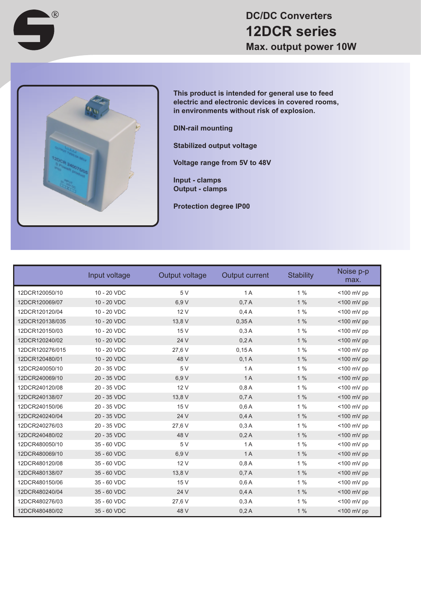



 $\bigcap$ 

**This product is intended for general use to feed electric and electronic devices in covered rooms, in environments without risk of explosion.**

**DIN-rail mounting**

**Stabilized output voltage**

**Voltage range from 5V to 48V**

**Input - clamps Output - clamps**

**Protection degree IP00**

|                 | Input voltage | Output voltage | <b>Output current</b> | <b>Stability</b> | Noise p-p<br>max. |
|-----------------|---------------|----------------|-----------------------|------------------|-------------------|
| 12DCR120050/10  | 10 - 20 VDC   | 5V             | 1A                    | 1%               | $<$ 100 mV pp     |
| 12DCR120069/07  | 10 - 20 VDC   | 6,9 V          | 0.7A                  | 1%               | $<$ 100 mV pp     |
| 12DCR120120/04  | 10 - 20 VDC   | 12 V           | 0.4A                  | 1%               | $<$ 100 mV pp     |
| 12DCR120138/035 | 10 - 20 VDC   | 13,8 V         | 0.35A                 | 1%               | <100 mV pp        |
| 12DCR120150/03  | 10 - 20 VDC   | 15 V           | 0.3A                  | 1%               | <100 mV pp        |
| 12DCR120240/02  | 10 - 20 VDC   | 24 V           | 0,2A                  | 1%               | $<$ 100 mV pp     |
| 12DCR120276/015 | 10 - 20 VDC   | 27,6 V         | 0.15A                 | 1%               | <100 mV pp        |
| 12DCR120480/01  | 10 - 20 VDC   | 48 V           | 0,1A                  | $1\%$            | <100 mV pp        |
| 12DCR240050/10  | 20 - 35 VDC   | 5 V            | 1A                    | 1%               | <100 mV pp        |
| 12DCR240069/10  | 20 - 35 VDC   | 6.9 V          | 1A                    | $1\%$            | <100 mV pp        |
| 12DCR240120/08  | 20 - 35 VDC   | 12 V           | 0,8A                  | $1\%$            | $<$ 100 mV pp     |
| 12DCR240138/07  | 20 - 35 VDC   | 13,8 V         | 0,7A                  | 1%               | $<$ 100 mV pp     |
| 12DCR240150/06  | 20 - 35 VDC   | 15 V           | 0,6A                  | $1\%$            | $<$ 100 mV pp     |
| 12DCR240240/04  | 20 - 35 VDC   | 24 V           | 0.4A                  | 1%               | <100 mV pp        |
| 12DCR240276/03  | 20 - 35 VDC   | 27.6 V         | 0.3A                  | $1\%$            | <100 mV pp        |
| 12DCR240480/02  | 20 - 35 VDC   | 48 V           | 0,2A                  | 1%               | <100 mV pp        |
| 12DCR480050/10  | 35 - 60 VDC   | 5 V            | 1A                    | 1%               | $<$ 100 mV pp     |
| 12DCR480069/10  | 35 - 60 VDC   | 6,9 V          | 1A                    | 1%               | <100 mV pp        |
| 12DCR480120/08  | 35 - 60 VDC   | 12 V           | 0,8A                  | 1%               | $<$ 100 mV pp     |
| 12DCR480138/07  | 35 - 60 VDC   | 13,8 V         | 0,7A                  | 1%               | <100 mV pp        |
| 12DCR480150/06  | 35 - 60 VDC   | 15 V           | 0,6A                  | $1\%$            | $<$ 100 mV pp     |
| 12DCR480240/04  | 35 - 60 VDC   | 24 V           | 0.4A                  | 1%               | $<$ 100 mV pp     |
| 12DCR480276/03  | 35 - 60 VDC   | 27,6 V         | 0.3A                  | 1%               | <100 mV pp        |
| 12DCR480480/02  | 35 - 60 VDC   | 48 V           | 0,2A                  | 1%               | <100 mV pp        |